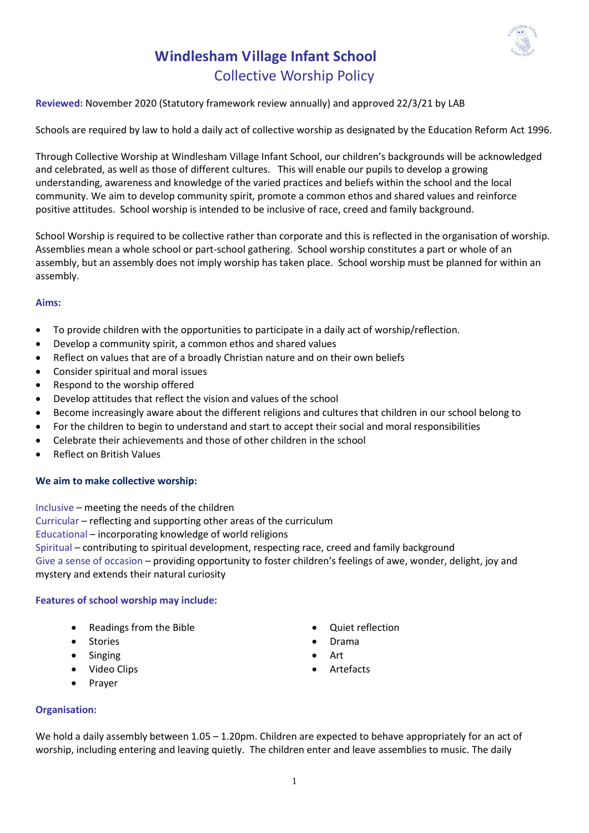

# **Windlesham Village Infant School** Collective Worship Policy

## **Reviewed:** November 2020 (Statutory framework review annually) and approved 22/3/21 by LAB

Schools are required by law to hold a daily act of collective worship as designated by the Education Reform Act 1996.

Through Collective Worship at Windlesham Village Infant School, our children's backgrounds will be acknowledged and celebrated, as well as those of different cultures. This will enable our pupils to develop a growing understanding, awareness and knowledge of the varied practices and beliefs within the school and the local community. We aim to develop community spirit, promote a common ethos and shared values and reinforce positive attitudes. School worship is intended to be inclusive of race, creed and family background.

School Worship is required to be collective rather than corporate and this is reflected in the organisation of worship. Assemblies mean a whole school or part-school gathering. School worship constitutes a part or whole of an assembly, but an assembly does not imply worship has taken place. School worship must be planned for within an assembly.

#### **Aims:**

- To provide children with the opportunities to participate in a daily act of worship/reflection.
- Develop a community spirit, a common ethos and shared values
- Reflect on values that are of a broadly Christian nature and on their own beliefs
- Consider spiritual and moral issues
- Respond to the worship offered
- Develop attitudes that reflect the vision and values of the school
- Become increasingly aware about the different religions and cultures that children in our school belong to
- For the children to begin to understand and start to accept their social and moral responsibilities
- Celebrate their achievements and those of other children in the school
- Reflect on British Values

#### **We aim to make collective worship:**

Inclusive – meeting the needs of the children Curricular – reflecting and supporting other areas of the curriculum Educational – incorporating knowledge of world religions Spiritual – contributing to spiritual development, respecting race, creed and family background Give a sense of occasion – providing opportunity to foster children's feelings of awe, wonder, delight, joy and mystery and extends their natural curiosity

#### **Features of school worship may include:**

- Readings from the Bible
- Stories
- Singing
- Video Clips
- Prayer
- Quiet reflection
- Drama
- Art
- **Artefacts**

#### **Organisation:**

We hold a daily assembly between 1.05 – 1.20pm. Children are expected to behave appropriately for an act of worship, including entering and leaving quietly. The children enter and leave assemblies to music. The daily